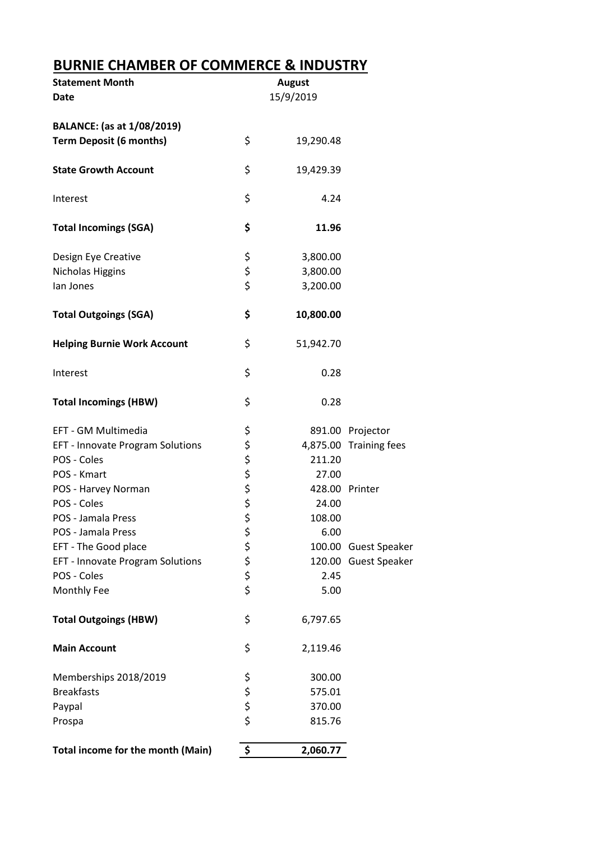## **BURNIE CHAMBER OF COMMERCE & INDUSTRY**

| <b>Statement Month</b><br><b>Date</b> | <b>August</b><br>15/9/2019 |                |                        |
|---------------------------------------|----------------------------|----------------|------------------------|
| <b>BALANCE:</b> (as at 1/08/2019)     |                            |                |                        |
| <b>Term Deposit (6 months)</b>        | \$                         | 19,290.48      |                        |
| <b>State Growth Account</b>           | \$                         | 19,429.39      |                        |
| Interest                              | \$                         | 4.24           |                        |
| <b>Total Incomings (SGA)</b>          | \$                         | 11.96          |                        |
| Design Eye Creative                   | \$                         | 3,800.00       |                        |
| Nicholas Higgins                      | \$<br>\$                   | 3,800.00       |                        |
| lan Jones                             |                            | 3,200.00       |                        |
| <b>Total Outgoings (SGA)</b>          | \$                         | 10,800.00      |                        |
| <b>Helping Burnie Work Account</b>    | \$                         | 51,942.70      |                        |
| Interest                              | \$                         | 0.28           |                        |
| <b>Total Incomings (HBW)</b>          | \$                         | 0.28           |                        |
| EFT - GM Multimedia                   | \$                         |                | 891.00 Projector       |
| EFT - Innovate Program Solutions      | \$<br>\$                   |                | 4,875.00 Training fees |
| POS - Coles                           |                            | 211.20         |                        |
| POS - Kmart                           |                            | 27.00          |                        |
| POS - Harvey Norman                   | \$\$\$                     | 428.00 Printer |                        |
| POS - Coles                           |                            | 24.00          |                        |
| POS - Jamala Press                    | \$                         | 108.00         |                        |
| POS - Jamala Press                    |                            | 6.00           |                        |
| EFT - The Good place                  |                            |                | 100.00 Guest Speaker   |
| EFT - Innovate Program Solutions      | さささ                        |                | 120.00 Guest Speaker   |
| POS - Coles                           |                            | 2.45           |                        |
| Monthly Fee                           |                            | 5.00           |                        |
| <b>Total Outgoings (HBW)</b>          | \$                         | 6,797.65       |                        |
| <b>Main Account</b>                   | \$                         | 2,119.46       |                        |
| Memberships 2018/2019                 |                            | 300.00         |                        |
| <b>Breakfasts</b>                     | ちらら                        | 575.01         |                        |
| Paypal                                |                            | 370.00         |                        |
| Prospa                                |                            | 815.76         |                        |
| Total income for the month (Main)     | \$                         | 2,060.77       |                        |